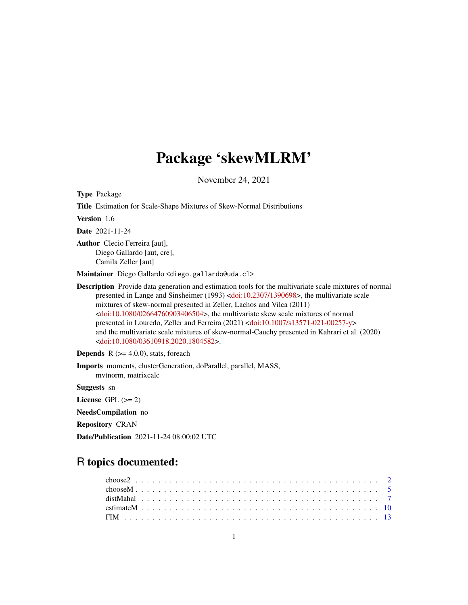## Package 'skewMLRM'

November 24, 2021

<span id="page-0-0"></span>Type Package

Title Estimation for Scale-Shape Mixtures of Skew-Normal Distributions

Version 1.6

Date 2021-11-24

Author Clecio Ferreira [aut], Diego Gallardo [aut, cre], Camila Zeller [aut]

Maintainer Diego Gallardo <diego.gallardo@uda.cl>

Description Provide data generation and estimation tools for the multivariate scale mixtures of normal presented in Lange and Sinsheimer (1993) [<doi:10.2307/1390698>](https://doi.org/10.2307/1390698), the multivariate scale mixtures of skew-normal presented in Zeller, Lachos and Vilca (2011) [<doi:10.1080/02664760903406504>](https://doi.org/10.1080/02664760903406504), the multivariate skew scale mixtures of normal presented in Louredo, Zeller and Ferreira (2021) [<doi:10.1007/s13571-021-00257-y>](https://doi.org/10.1007/s13571-021-00257-y) and the multivariate scale mixtures of skew-normal-Cauchy presented in Kahrari et al. (2020) [<doi:10.1080/03610918.2020.1804582>](https://doi.org/10.1080/03610918.2020.1804582).

**Depends**  $R$  ( $>= 4.0.0$ ), stats, foreach

Imports moments, clusterGeneration, doParallel, parallel, MASS, mvtnorm, matrixcalc

Suggests sn

License GPL  $(>= 2)$ 

NeedsCompilation no

Repository CRAN

Date/Publication 2021-11-24 08:00:02 UTC

## R topics documented: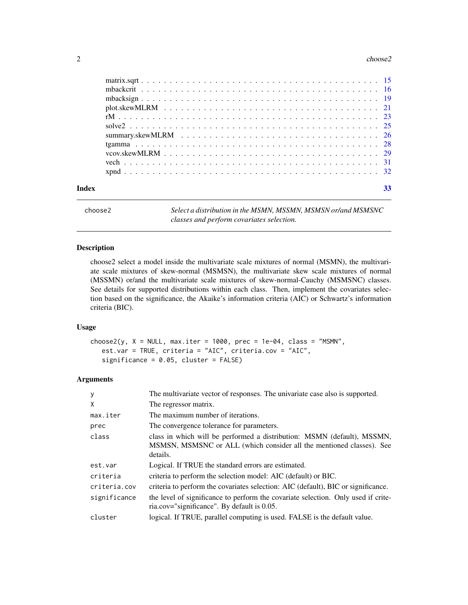#### <span id="page-1-0"></span> $2 \cos 2\theta$

| Index | 33 |
|-------|----|

choose2 *Select a distribution in the MSMN, MSSMN, MSMSN or/and MSMSNC classes and perform covariates selection.*

#### Description

choose2 select a model inside the multivariate scale mixtures of normal (MSMN), the multivariate scale mixtures of skew-normal (MSMSN), the multivariate skew scale mixtures of normal (MSSMN) or/and the multivariate scale mixtures of skew-normal-Cauchy (MSMSNC) classes. See details for supported distributions within each class. Then, implement the covariates selection based on the significance, the Akaike's information criteria (AIC) or Schwartz's information criteria (BIC).

#### Usage

choose2(y,  $X = NULL$ , max.iter = 1000, prec = 1e-04, class = "MSMN", est.var = TRUE, criteria = "AIC", criteria.cov = "AIC", significance = 0.05, cluster = FALSE)

#### Arguments

| y            | The multivariate vector of responses. The univariate case also is supported.                                                                                |
|--------------|-------------------------------------------------------------------------------------------------------------------------------------------------------------|
| X            | The regressor matrix.                                                                                                                                       |
| max.iter     | The maximum number of iterations.                                                                                                                           |
| prec         | The convergence tolerance for parameters.                                                                                                                   |
| class        | class in which will be performed a distribution: MSMN (default), MSSMN,<br>MSMSN, MSMSNC or ALL (which consider all the mentioned classes). See<br>details. |
| est.var      | Logical. If TRUE the standard errors are estimated.                                                                                                         |
| criteria     | criteria to perform the selection model: AIC (default) or BIC.                                                                                              |
| criteria.cov | criteria to perform the covariates selection: AIC (default), BIC or significance.                                                                           |
| significance | the level of significance to perform the covariate selection. Only used if crite-<br>ria.cov="significance". By default is 0.05.                            |
| cluster      | logical. If TRUE, parallel computing is used. FALSE is the default value.                                                                                   |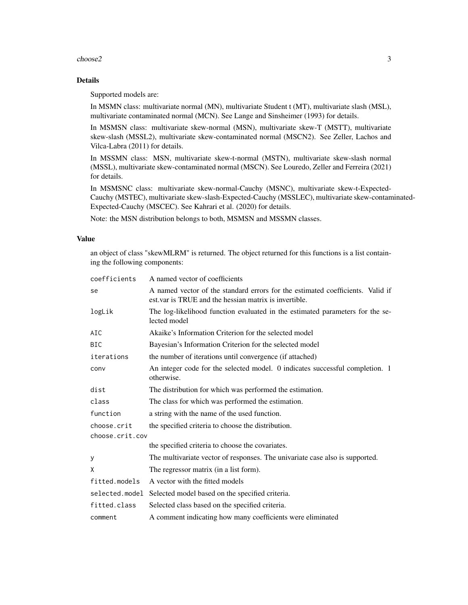#### choose2 3

#### Details

Supported models are:

In MSMN class: multivariate normal (MN), multivariate Student t (MT), multivariate slash (MSL), multivariate contaminated normal (MCN). See Lange and Sinsheimer (1993) for details.

In MSMSN class: multivariate skew-normal (MSN), multivariate skew-T (MSTT), multivariate skew-slash (MSSL2), multivariate skew-contaminated normal (MSCN2). See Zeller, Lachos and Vilca-Labra (2011) for details.

In MSSMN class: MSN, multivariate skew-t-normal (MSTN), multivariate skew-slash normal (MSSL), multivariate skew-contaminated normal (MSCN). See Louredo, Zeller and Ferreira (2021) for details.

In MSMSNC class: multivariate skew-normal-Cauchy (MSNC), multivariate skew-t-Expected-Cauchy (MSTEC), multivariate skew-slash-Expected-Cauchy (MSSLEC), multivariate skew-contaminated-Expected-Cauchy (MSCEC). See Kahrari et al. (2020) for details.

Note: the MSN distribution belongs to both, MSMSN and MSSMN classes.

#### Value

an object of class "skewMLRM" is returned. The object returned for this functions is a list containing the following components:

| coefficients    | A named vector of coefficients                                                                                                          |
|-----------------|-----------------------------------------------------------------------------------------------------------------------------------------|
| se              | A named vector of the standard errors for the estimated coefficients. Valid if<br>est var is TRUE and the hessian matrix is invertible. |
| logLik          | The log-likelihood function evaluated in the estimated parameters for the se-<br>lected model                                           |
| AIC             | Akaike's Information Criterion for the selected model                                                                                   |
| <b>BIC</b>      | Bayesian's Information Criterion for the selected model                                                                                 |
| iterations      | the number of iterations until convergence (if attached)                                                                                |
| conv            | An integer code for the selected model. 0 indicates successful completion. 1<br>otherwise.                                              |
| dist            | The distribution for which was performed the estimation.                                                                                |
| class           | The class for which was performed the estimation.                                                                                       |
| function        | a string with the name of the used function.                                                                                            |
| choose.crit     | the specified criteria to choose the distribution.                                                                                      |
| choose.crit.cov |                                                                                                                                         |
|                 | the specified criteria to choose the covariates.                                                                                        |
| У               | The multivariate vector of responses. The univariate case also is supported.                                                            |
| X               | The regressor matrix (in a list form).                                                                                                  |
| fitted.models   | A vector with the fitted models                                                                                                         |
| selected.model  | Selected model based on the specified criteria.                                                                                         |
| fitted.class    | Selected class based on the specified criteria.                                                                                         |
| comment         | A comment indicating how many coefficients were eliminated                                                                              |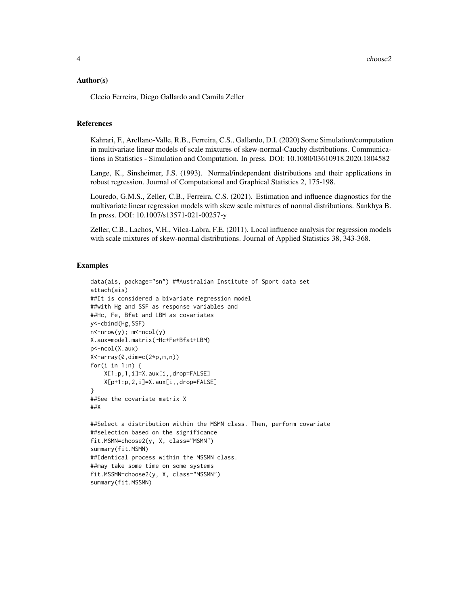#### Author(s)

Clecio Ferreira, Diego Gallardo and Camila Zeller

#### References

Kahrari, F., Arellano-Valle, R.B., Ferreira, C.S., Gallardo, D.I. (2020) Some Simulation/computation in multivariate linear models of scale mixtures of skew-normal-Cauchy distributions. Communications in Statistics - Simulation and Computation. In press. DOI: 10.1080/03610918.2020.1804582

Lange, K., Sinsheimer, J.S. (1993). Normal/independent distributions and their applications in robust regression. Journal of Computational and Graphical Statistics 2, 175-198.

Louredo, G.M.S., Zeller, C.B., Ferreira, C.S. (2021). Estimation and influence diagnostics for the multivariate linear regression models with skew scale mixtures of normal distributions. Sankhya B. In press. DOI: 10.1007/s13571-021-00257-y

Zeller, C.B., Lachos, V.H., Vilca-Labra, F.E. (2011). Local influence analysis for regression models with scale mixtures of skew-normal distributions. Journal of Applied Statistics 38, 343-368.

#### Examples

```
data(ais, package="sn") ##Australian Institute of Sport data set
attach(ais)
##It is considered a bivariate regression model
##with Hg and SSF as response variables and
##Hc, Fe, Bfat and LBM as covariates
y<-cbind(Hg,SSF)
n<-nrow(y); m<-ncol(y)
X.aux=model.matrix(~Hc+Fe+Bfat+LBM)
p<-ncol(X.aux)
X<-array(0,dim=c(2*p,m,n))
for(i in 1:n) \{X[1:p,1,i]=X.aux[i,,drop=FALSE]
   X[p+1:p,2,i]=X.aux[i,,drop=FALSE]
}
##See the covariate matrix X
##X
##Select a distribution within the MSMN class. Then, perform covariate
##selection based on the significance
fit.MSMN=choose2(y, X, class="MSMN")
summary(fit.MSMN)
##Identical process within the MSSMN class.
##may take some time on some systems
fit.MSSMN=choose2(y, X, class="MSSMN")
summary(fit.MSSMN)
```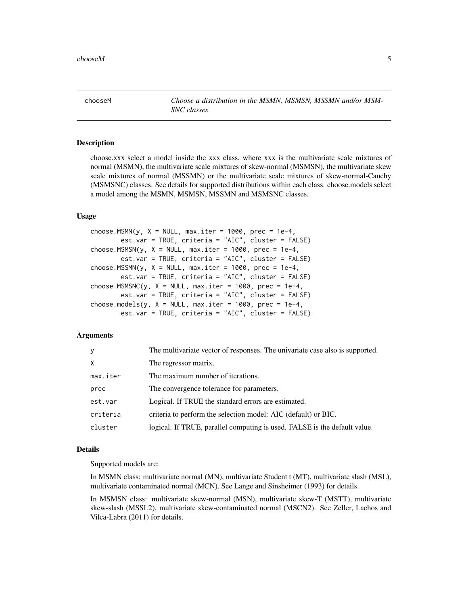<span id="page-4-0"></span>chooseM *Choose a distribution in the MSMN, MSMSN, MSSMN and/or MSM-SNC classes*

#### Description

choose.xxx select a model inside the xxx class, where xxx is the multivariate scale mixtures of normal (MSMN), the multivariate scale mixtures of skew-normal (MSMSN), the multivariate skew scale mixtures of normal (MSSMN) or the multivariate scale mixtures of skew-normal-Cauchy (MSMSNC) classes. See details for supported distributions within each class. choose.models select a model among the MSMN, MSMSN, MSSMN and MSMSNC classes.

#### Usage

```
choose.MSMN(y, X = NULL, max.iter = 1000, prec = 1e-4,
       est.var = TRUE, criteria = "AIC", cluster = FALSE)
choose.MSMSN(y, X = NULL, max.iter = 1000, prec = 1e-4,
       est.var = TRUE, criteria = "AIC", cluster = FALSE)
choose.MSSMN(y, X = NULL, max.iter = 1000, prec = 1e-4,
       est.var = TRUE, criteria = "AIC", cluster = FALSE)
choose.MSMSNC(y, X = NULL, max.iter = 1000, prec = 1e-4,
       est.var = TRUE, criteria = "AIC", cluster = FALSE)
choose.models(y, X = NULL, max.iter = 1000, prec = 1e-4,
       est.var = TRUE, criteria = "AIC", cluster = FALSE)
```
#### Arguments

| V        | The multivariate vector of responses. The univariate case also is supported. |
|----------|------------------------------------------------------------------------------|
| X        | The regressor matrix.                                                        |
| max.iter | The maximum number of iterations.                                            |
| prec     | The convergence tolerance for parameters.                                    |
| est.var  | Logical. If TRUE the standard errors are estimated.                          |
| criteria | criteria to perform the selection model: AIC (default) or BIC.               |
| cluster  | logical. If TRUE, parallel computing is used. FALSE is the default value.    |

#### Details

Supported models are:

In MSMN class: multivariate normal (MN), multivariate Student t (MT), multivariate slash (MSL), multivariate contaminated normal (MCN). See Lange and Sinsheimer (1993) for details.

In MSMSN class: multivariate skew-normal (MSN), multivariate skew-T (MSTT), multivariate skew-slash (MSSL2), multivariate skew-contaminated normal (MSCN2). See Zeller, Lachos and Vilca-Labra (2011) for details.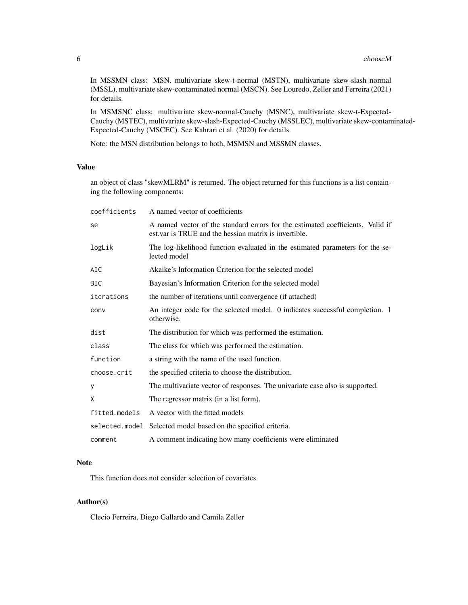In MSSMN class: MSN, multivariate skew-t-normal (MSTN), multivariate skew-slash normal (MSSL), multivariate skew-contaminated normal (MSCN). See Louredo, Zeller and Ferreira (2021) for details.

In MSMSNC class: multivariate skew-normal-Cauchy (MSNC), multivariate skew-t-Expected-Cauchy (MSTEC), multivariate skew-slash-Expected-Cauchy (MSSLEC), multivariate skew-contaminated-Expected-Cauchy (MSCEC). See Kahrari et al. (2020) for details.

Note: the MSN distribution belongs to both, MSMSN and MSSMN classes.

#### Value

an object of class "skewMLRM" is returned. The object returned for this functions is a list containing the following components:

| coefficients  | A named vector of coefficients                                                                                                          |
|---------------|-----------------------------------------------------------------------------------------------------------------------------------------|
| se            | A named vector of the standard errors for the estimated coefficients. Valid if<br>est var is TRUE and the hessian matrix is invertible. |
| logLik        | The log-likelihood function evaluated in the estimated parameters for the se-<br>lected model                                           |
| AIC           | Akaike's Information Criterion for the selected model                                                                                   |
| <b>BIC</b>    | Bayesian's Information Criterion for the selected model                                                                                 |
| iterations    | the number of iterations until convergence (if attached)                                                                                |
| conv          | An integer code for the selected model. 0 indicates successful completion. 1<br>otherwise.                                              |
| dist          | The distribution for which was performed the estimation.                                                                                |
| class         | The class for which was performed the estimation.                                                                                       |
| function      | a string with the name of the used function.                                                                                            |
| choose.crit   | the specified criteria to choose the distribution.                                                                                      |
| у             | The multivariate vector of responses. The univariate case also is supported.                                                            |
| X             | The regressor matrix (in a list form).                                                                                                  |
| fitted.models | A vector with the fitted models                                                                                                         |
|               | selected.model Selected model based on the specified criteria.                                                                          |
| comment       | A comment indicating how many coefficients were eliminated                                                                              |

#### Note

This function does not consider selection of covariates.

#### Author(s)

Clecio Ferreira, Diego Gallardo and Camila Zeller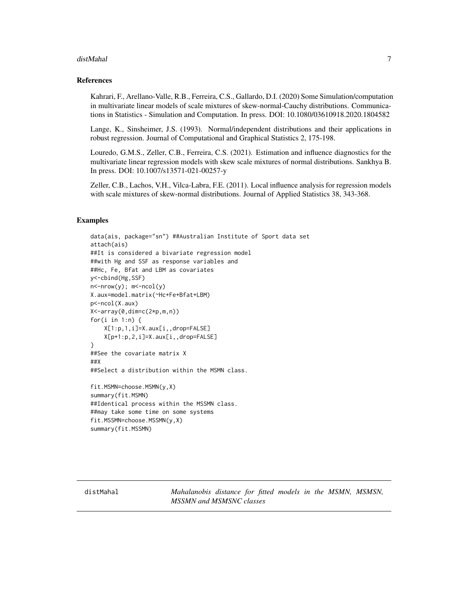#### <span id="page-6-0"></span>distMahal 7

#### References

Kahrari, F., Arellano-Valle, R.B., Ferreira, C.S., Gallardo, D.I. (2020) Some Simulation/computation in multivariate linear models of scale mixtures of skew-normal-Cauchy distributions. Communications in Statistics - Simulation and Computation. In press. DOI: 10.1080/03610918.2020.1804582

Lange, K., Sinsheimer, J.S. (1993). Normal/independent distributions and their applications in robust regression. Journal of Computational and Graphical Statistics 2, 175-198.

Louredo, G.M.S., Zeller, C.B., Ferreira, C.S. (2021). Estimation and influence diagnostics for the multivariate linear regression models with skew scale mixtures of normal distributions. Sankhya B. In press. DOI: 10.1007/s13571-021-00257-y

Zeller, C.B., Lachos, V.H., Vilca-Labra, F.E. (2011). Local influence analysis for regression models with scale mixtures of skew-normal distributions. Journal of Applied Statistics 38, 343-368.

#### Examples

data(ais, package="sn") ##Australian Institute of Sport data set attach(ais) ##It is considered a bivariate regression model ##with Hg and SSF as response variables and ##Hc, Fe, Bfat and LBM as covariates y<-cbind(Hg,SSF) n<-nrow(y); m<-ncol(y) X.aux=model.matrix(~Hc+Fe+Bfat+LBM) p<-ncol(X.aux) X<-array(0,dim=c(2\*p,m,n)) for(i in 1:n) { X[1:p,1,i]=X.aux[i,,drop=FALSE] X[p+1:p,2,i]=X.aux[i,,drop=FALSE] } ##See the covariate matrix X ##X ##Select a distribution within the MSMN class. fit.MSMN=choose.MSMN(y,X) summary(fit.MSMN) ##Identical process within the MSSMN class.

##may take some time on some systems fit.MSSMN=choose.MSSMN(y,X) summary(fit.MSSMN)

distMahal *Mahalanobis distance for fitted models in the MSMN, MSMSN, MSSMN and MSMSNC classes*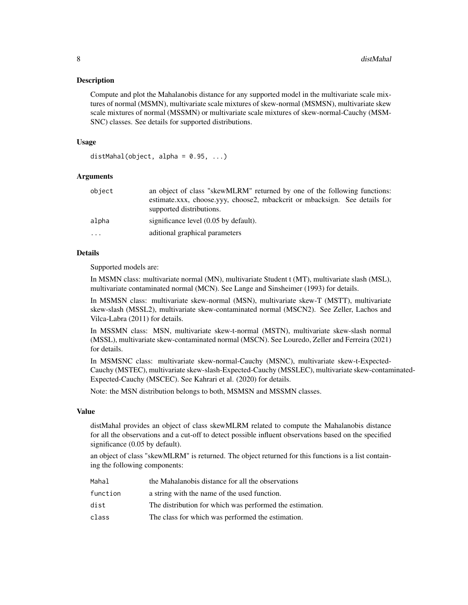#### **Description**

Compute and plot the Mahalanobis distance for any supported model in the multivariate scale mixtures of normal (MSMN), multivariate scale mixtures of skew-normal (MSMSN), multivariate skew scale mixtures of normal (MSSMN) or multivariate scale mixtures of skew-normal-Cauchy (MSM-SNC) classes. See details for supported distributions.

#### Usage

```
distMahal(object, alpha = 0.95, ...)
```
#### **Arguments**

| object    | an object of class "skewMLRM" returned by one of the following functions:<br>estimate.xxx, choose.yyy, choose2, mbackcrit or mbacksign. See details for<br>supported distributions. |
|-----------|-------------------------------------------------------------------------------------------------------------------------------------------------------------------------------------|
| alpha     | significance level $(0.05$ by default).                                                                                                                                             |
| $\ddotsc$ | aditional graphical parameters                                                                                                                                                      |

#### Details

Supported models are:

In MSMN class: multivariate normal (MN), multivariate Student t (MT), multivariate slash (MSL), multivariate contaminated normal (MCN). See Lange and Sinsheimer (1993) for details.

In MSMSN class: multivariate skew-normal (MSN), multivariate skew-T (MSTT), multivariate skew-slash (MSSL2), multivariate skew-contaminated normal (MSCN2). See Zeller, Lachos and Vilca-Labra (2011) for details.

In MSSMN class: MSN, multivariate skew-t-normal (MSTN), multivariate skew-slash normal (MSSL), multivariate skew-contaminated normal (MSCN). See Louredo, Zeller and Ferreira (2021) for details.

In MSMSNC class: multivariate skew-normal-Cauchy (MSNC), multivariate skew-t-Expected-Cauchy (MSTEC), multivariate skew-slash-Expected-Cauchy (MSSLEC), multivariate skew-contaminated-Expected-Cauchy (MSCEC). See Kahrari et al. (2020) for details.

Note: the MSN distribution belongs to both, MSMSN and MSSMN classes.

#### Value

distMahal provides an object of class skewMLRM related to compute the Mahalanobis distance for all the observations and a cut-off to detect possible influent observations based on the specified significance (0.05 by default).

an object of class "skewMLRM" is returned. The object returned for this functions is a list containing the following components:

| Mahal    | the Mahalanobis distance for all the observations        |
|----------|----------------------------------------------------------|
| function | a string with the name of the used function.             |
| dist     | The distribution for which was performed the estimation. |
| class    | The class for which was performed the estimation.        |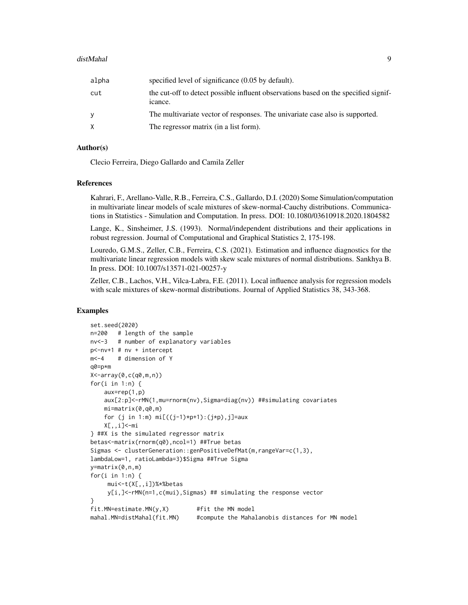#### distMahal 9

| alpha | specified level of significance (0.05 by default).                                             |
|-------|------------------------------------------------------------------------------------------------|
| cut   | the cut-off to detect possible influent observations based on the specified signif-<br>icance. |
| ٧     | The multivariate vector of responses. The univariate case also is supported.                   |
|       | The regressor matrix (in a list form).                                                         |

#### Author(s)

Clecio Ferreira, Diego Gallardo and Camila Zeller

#### References

Kahrari, F., Arellano-Valle, R.B., Ferreira, C.S., Gallardo, D.I. (2020) Some Simulation/computation in multivariate linear models of scale mixtures of skew-normal-Cauchy distributions. Communications in Statistics - Simulation and Computation. In press. DOI: 10.1080/03610918.2020.1804582

Lange, K., Sinsheimer, J.S. (1993). Normal/independent distributions and their applications in robust regression. Journal of Computational and Graphical Statistics 2, 175-198.

Louredo, G.M.S., Zeller, C.B., Ferreira, C.S. (2021). Estimation and influence diagnostics for the multivariate linear regression models with skew scale mixtures of normal distributions. Sankhya B. In press. DOI: 10.1007/s13571-021-00257-y

Zeller, C.B., Lachos, V.H., Vilca-Labra, F.E. (2011). Local influence analysis for regression models with scale mixtures of skew-normal distributions. Journal of Applied Statistics 38, 343-368.

#### Examples

```
set.seed(2020)
n=200 # length of the sample
nv<-3 # number of explanatory variables
p<-nv+1 # nv + intercept
m<-4 # dimension of Y
q0=p*m
X<-array(0,c(q0,m,n))
for(i in 1:n) \{aux=rep(1,p)
    aux[2:p]<-rMN(1,mu=rnorm(nv),Sigma=diag(nv)) ##simulating covariates
    mi=matrix(0,q0,m)
    for (j in 1:m) mi[((j-1)*p+1):(j*p), j]=auxX[,,i]<-mi
} ##X is the simulated regressor matrix
betas<-matrix(rnorm(q0),ncol=1) ##True betas
Sigmas <- clusterGeneration::genPositiveDefMat(m,rangeVar=c(1,3),
lambdaLow=1, ratioLambda=3)$Sigma ##True Sigma
y=matrix(0,n,m)
for(i in 1:n) {
     mui<-t(X[,,i])%*%betas
     y[i,]<-rMN(n=1,c(mui),Sigmas) ## simulating the response vector
}
fit. MN=estimate. MN(y, X) #fit the MN model
mahal.MN=distMahal(fit.MN) #compute the Mahalanobis distances for MN model
```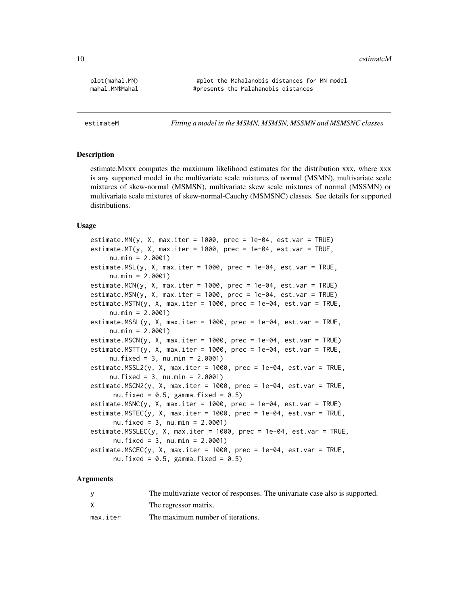<span id="page-9-0"></span>10 estimateM

plot(mahal.MN) #plot the Mahalanobis distances for MN model mahal.MN\$Mahal **#presents** the Malahanobis distances

estimateM *Fitting a model in the MSMN, MSMSN, MSSMN and MSMSNC classes*

#### Description

estimate.Mxxx computes the maximum likelihood estimates for the distribution xxx, where xxx is any supported model in the multivariate scale mixtures of normal (MSMN), multivariate scale mixtures of skew-normal (MSMSN), multivariate skew scale mixtures of normal (MSSMN) or multivariate scale mixtures of skew-normal-Cauchy (MSMSNC) classes. See details for supported distributions.

#### Usage

```
estimate.MN(y, X, max.iter = 1000, prec = 1e-04, est.var = TRUE)
estimate.MT(y, X, max.iter = 1000, prec = 1e-04, est.var = TRUE,
     nu.min = 2.0001)
estimate.MSL(y, X, max.iter = 1000, prec = 1e-04, est.var = TRUE,
     nu.min = 2.0001)
estimate.MCN(y, X, max.iter = 1000, prec = 1e-04, est.var = TRUE)
estimate.MSN(y, X, max.iter = 1000, prec = 1e-04, est.var = TRUE)
estimate.MSTN(y, X, max.iter = 1000, prec = 1e-04, est.var = TRUE,
     nu.min = 2.0001)
estimate.MSSL(y, X, max.iter = 1000, prec = 1e-04, est.var = TRUE,
     nu.min = 2.0001)
estimate.MSCN(y, X, max.iter = 1000, prec = 1e-04, est.var = TRUE)
estimate.MSTT(y, X, max.iter = 1000, prec = 1e-04, est.var = TRUE,
     nu.fixed = 3, nu.min = 2.0001)
estimate.MSSL2(y, X, max.iter = 1000, prec = 1e-04, est.var = TRUE,
     nu.fixed = 3, nu.min = 2.0001)
estimate.MSCN2(y, X, max.iter = 1000, prec = 1e-04, est.var = TRUE,
     nu.fixed = 0.5, gamma.fixed = 0.5)
estimate.MSNC(y, X, max.iter = 1000, prec = 1e-04, est.var = TRUE)
estimate.MSTEC(y, X, max.iter = 1000, prec = 1e-04, est.var = TRUE,
     nu.fixed = 3, nu.min = 2.0001)
estimate.MSSLEC(y, X, max.iter = 1000, prec = 1e-04, est.var = TRUE,
     nu.fixed = 3, nu.min = 2.0001)
estimate.MSCEC(y, X, max.iter = 1000, prec = 1e-04, est.var = TRUE,
     nu.fixed = 0.5, gamma.fixed = 0.5)
```
#### **Arguments**

|          | The multivariate vector of responses. The univariate case also is supported. |
|----------|------------------------------------------------------------------------------|
| X        | The regressor matrix.                                                        |
| max.iter | The maximum number of iterations.                                            |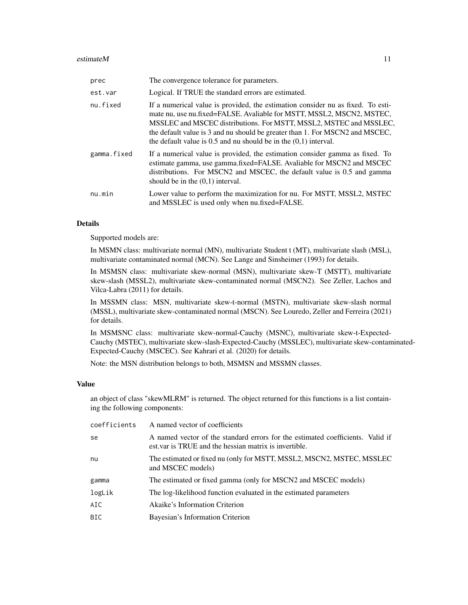#### estimateM  $11$

| prec        | The convergence tolerance for parameters.                                                                                                                                                                                                                                                                                                                                              |
|-------------|----------------------------------------------------------------------------------------------------------------------------------------------------------------------------------------------------------------------------------------------------------------------------------------------------------------------------------------------------------------------------------------|
| est.var     | Logical. If TRUE the standard errors are estimated.                                                                                                                                                                                                                                                                                                                                    |
| nu.fixed    | If a numerical value is provided, the estimation consider nu as fixed. To esti-<br>mate nu, use nu.fixed=FALSE. Avaliable for MSTT, MSSL2, MSCN2, MSTEC,<br>MSSLEC and MSCEC distributions. For MSTT, MSSL2, MSTEC and MSSLEC,<br>the default value is 3 and nu should be greater than 1. For MSCN2 and MSCEC,<br>the default value is $0.5$ and nu should be in the $(0.1)$ interval. |
| gamma.fixed | If a numerical value is provided, the estimation consider gamma as fixed. To<br>estimate gamma, use gamma.fixed=FALSE. Avaliable for MSCN2 and MSCEC<br>distributions. For MSCN2 and MSCEC, the default value is 0.5 and gamma<br>should be in the $(0,1)$ interval.                                                                                                                   |
| nu.min      | Lower value to perform the maximization for nu. For MSTT, MSSL2, MSTEC<br>and MSSLEC is used only when nu.fixed=FALSE.                                                                                                                                                                                                                                                                 |

#### Details

Supported models are:

In MSMN class: multivariate normal (MN), multivariate Student t (MT), multivariate slash (MSL), multivariate contaminated normal (MCN). See Lange and Sinsheimer (1993) for details.

In MSMSN class: multivariate skew-normal (MSN), multivariate skew-T (MSTT), multivariate skew-slash (MSSL2), multivariate skew-contaminated normal (MSCN2). See Zeller, Lachos and Vilca-Labra (2011) for details.

In MSSMN class: MSN, multivariate skew-t-normal (MSTN), multivariate skew-slash normal (MSSL), multivariate skew-contaminated normal (MSCN). See Louredo, Zeller and Ferreira (2021) for details.

In MSMSNC class: multivariate skew-normal-Cauchy (MSNC), multivariate skew-t-Expected-Cauchy (MSTEC), multivariate skew-slash-Expected-Cauchy (MSSLEC), multivariate skew-contaminated-Expected-Cauchy (MSCEC). See Kahrari et al. (2020) for details.

Note: the MSN distribution belongs to both, MSMSN and MSSMN classes.

#### Value

an object of class "skewMLRM" is returned. The object returned for this functions is a list containing the following components:

| coefficients | A named vector of coefficients                                                                                                          |
|--------------|-----------------------------------------------------------------------------------------------------------------------------------------|
| se           | A named vector of the standard errors for the estimated coefficients. Valid if<br>est var is TRUE and the hessian matrix is invertible. |
| nu           | The estimated or fixed nu (only for MSTT, MSSL2, MSCN2, MSTEC, MSSLEC<br>and MSCEC models)                                              |
| gamma        | The estimated or fixed gamma (only for MSCN2 and MSCEC models)                                                                          |
| logLik       | The log-likelihood function evaluated in the estimated parameters                                                                       |
| AIC          | Akaike's Information Criterion                                                                                                          |
| <b>BIC</b>   | Bayesian's Information Criterion                                                                                                        |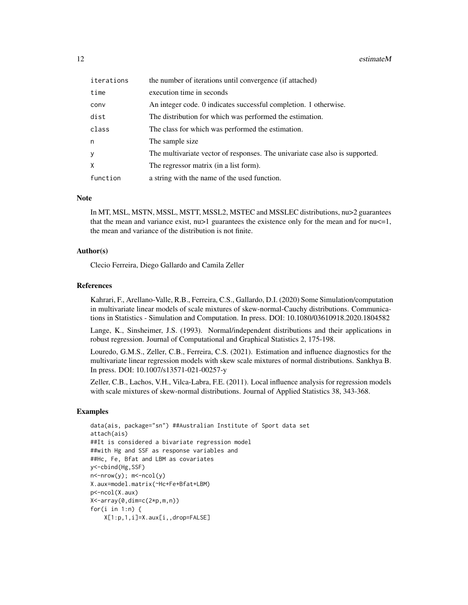12 estimateM

| iterations | the number of iterations until convergence (if attached)                     |
|------------|------------------------------------------------------------------------------|
| time       | execution time in seconds                                                    |
| conv       | An integer code. 0 indicates successful completion. 1 otherwise.             |
| dist       | The distribution for which was performed the estimation.                     |
| class      | The class for which was performed the estimation.                            |
| n          | The sample size.                                                             |
| У          | The multivariate vector of responses. The univariate case also is supported. |
| X          | The regressor matrix (in a list form).                                       |
| function   | a string with the name of the used function.                                 |

#### Note

In MT, MSL, MSTN, MSSL, MSTT, MSSL2, MSTEC and MSSLEC distributions, nu>2 guarantees that the mean and variance exist,  $nu > 1$  guarantees the existence only for the mean and for  $nu < = 1$ , the mean and variance of the distribution is not finite.

#### Author(s)

Clecio Ferreira, Diego Gallardo and Camila Zeller

#### References

Kahrari, F., Arellano-Valle, R.B., Ferreira, C.S., Gallardo, D.I. (2020) Some Simulation/computation in multivariate linear models of scale mixtures of skew-normal-Cauchy distributions. Communications in Statistics - Simulation and Computation. In press. DOI: 10.1080/03610918.2020.1804582

Lange, K., Sinsheimer, J.S. (1993). Normal/independent distributions and their applications in robust regression. Journal of Computational and Graphical Statistics 2, 175-198.

Louredo, G.M.S., Zeller, C.B., Ferreira, C.S. (2021). Estimation and influence diagnostics for the multivariate linear regression models with skew scale mixtures of normal distributions. Sankhya B. In press. DOI: 10.1007/s13571-021-00257-y

Zeller, C.B., Lachos, V.H., Vilca-Labra, F.E. (2011). Local influence analysis for regression models with scale mixtures of skew-normal distributions. Journal of Applied Statistics 38, 343-368.

#### Examples

```
data(ais, package="sn") ##Australian Institute of Sport data set
attach(ais)
##It is considered a bivariate regression model
##with Hg and SSF as response variables and
##Hc, Fe, Bfat and LBM as covariates
y<-cbind(Hg,SSF)
n<-nrow(y); m<-ncol(y)
X.aux=model.matrix(~Hc+Fe+Bfat+LBM)
p<-ncol(X.aux)
X<-array(0,dim=c(2*p,m,n))
for(i in 1:n) {
   X[1:p,1,i]=X.aux[i,,drop=FALSE]
```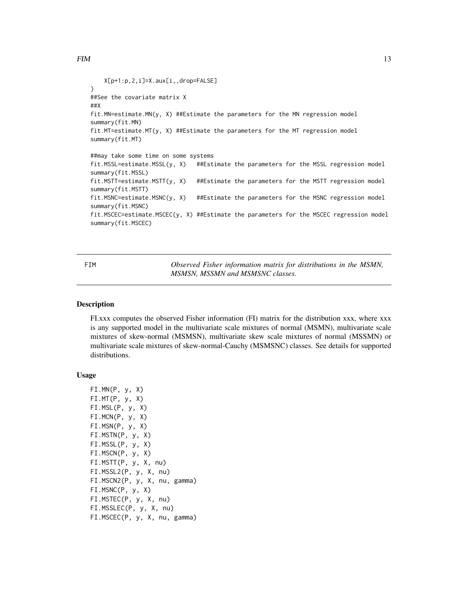```
X[p+1:p,2,i]=X.aux[i,,drop=FALSE]
}
##See the covariate matrix X
##X
fit.MN=estimate.MN(y, X) ##Estimate the parameters for the MN regression model
summary(fit.MN)
fit.MT=estimate.MT(y, X) ##Estimate the parameters for the MT regression model
summary(fit.MT)
##may take some time on some systems
fit.MSSL=estimate.MSSL(y, X) ##Estimate the parameters for the MSSL regression model
summary(fit.MSSL)
fit.MSTT=estimate.MSTT(y, X) ##Estimate the parameters for the MSTT regression model
summary(fit.MSTT)
fit.MSNC=estimate.MSNC(y, X) ##Estimate the parameters for the MSNC regression model
summary(fit.MSNC)
fit.MSCEC=estimate.MSCEC(y, X) ##Estimate the parameters for the MSCEC regression model
summary(fit.MSCEC)
```
FIM *Observed Fisher information matrix for distributions in the MSMN, MSMSN, MSSMN and MSMSNC classes.*

#### **Description**

FI.xxx computes the observed Fisher information (FI) matrix for the distribution xxx, where xxx is any supported model in the multivariate scale mixtures of normal (MSMN), multivariate scale mixtures of skew-normal (MSMSN), multivariate skew scale mixtures of normal (MSSMN) or multivariate scale mixtures of skew-normal-Cauchy (MSMSNC) classes. See details for supported distributions.

#### Usage

```
FI.MN(P, y, X)
FI.MT(P, y, X)
FI.MSL(P, y, X)
FI.MCN(P, y, X)
FI.MSN(P, y, X)
FI.MSTN(P, y, X)
FI.MSSL(P, y, X)
FI.MSCN(P, y, X)
FI.MSTT(P, y, X, nu)
FI.MSSL2(P, y, X, nu)
FI.MSCN2(P, y, X, nu, gamma)
FI.MSNC(P, y, X)
FI.MSTEC(P, y, X, nu)
FI.MSSLEC(P, y, X, nu)
FI.MSCEC(P, y, X, nu, gamma)
```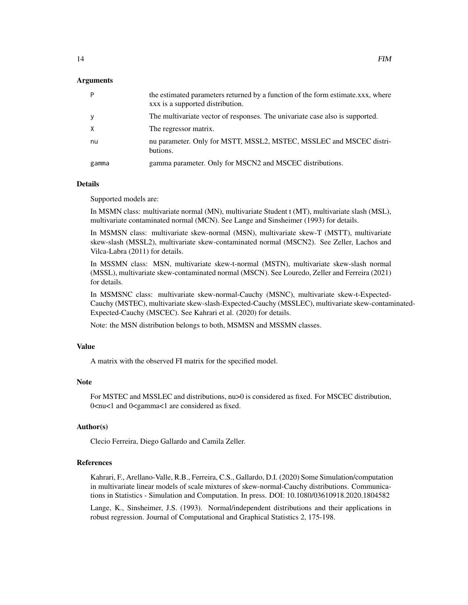#### Arguments

| P     | the estimated parameters returned by a function of the form estimate.xxx, where<br>xxx is a supported distribution. |
|-------|---------------------------------------------------------------------------------------------------------------------|
| y     | The multivariate vector of responses. The univariate case also is supported.                                        |
| X     | The regressor matrix.                                                                                               |
| nu    | nu parameter. Only for MSTT, MSSL2, MSTEC, MSSLEC and MSCEC distri-<br>butions.                                     |
| gamma | gamma parameter. Only for MSCN2 and MSCEC distributions.                                                            |

#### Details

Supported models are:

In MSMN class: multivariate normal (MN), multivariate Student t (MT), multivariate slash (MSL), multivariate contaminated normal (MCN). See Lange and Sinsheimer (1993) for details.

In MSMSN class: multivariate skew-normal (MSN), multivariate skew-T (MSTT), multivariate skew-slash (MSSL2), multivariate skew-contaminated normal (MSCN2). See Zeller, Lachos and Vilca-Labra (2011) for details.

In MSSMN class: MSN, multivariate skew-t-normal (MSTN), multivariate skew-slash normal (MSSL), multivariate skew-contaminated normal (MSCN). See Louredo, Zeller and Ferreira (2021) for details.

In MSMSNC class: multivariate skew-normal-Cauchy (MSNC), multivariate skew-t-Expected-Cauchy (MSTEC), multivariate skew-slash-Expected-Cauchy (MSSLEC), multivariate skew-contaminated-Expected-Cauchy (MSCEC). See Kahrari et al. (2020) for details.

Note: the MSN distribution belongs to both, MSMSN and MSSMN classes.

#### Value

A matrix with the observed FI matrix for the specified model.

#### **Note**

For MSTEC and MSSLEC and distributions, nu>0 is considered as fixed. For MSCEC distribution, 0<nu<1 and 0<gamma<1 are considered as fixed.

#### Author(s)

Clecio Ferreira, Diego Gallardo and Camila Zeller.

#### References

Kahrari, F., Arellano-Valle, R.B., Ferreira, C.S., Gallardo, D.I. (2020) Some Simulation/computation in multivariate linear models of scale mixtures of skew-normal-Cauchy distributions. Communications in Statistics - Simulation and Computation. In press. DOI: 10.1080/03610918.2020.1804582

Lange, K., Sinsheimer, J.S. (1993). Normal/independent distributions and their applications in robust regression. Journal of Computational and Graphical Statistics 2, 175-198.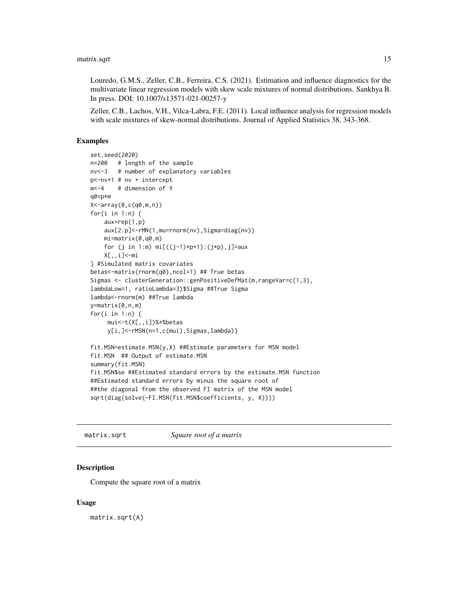<span id="page-14-0"></span>Louredo, G.M.S., Zeller, C.B., Ferreira, C.S. (2021). Estimation and influence diagnostics for the multivariate linear regression models with skew scale mixtures of normal distributions. Sankhya B. In press. DOI: 10.1007/s13571-021-00257-y

Zeller, C.B., Lachos, V.H., Vilca-Labra, F.E. (2011). Local influence analysis for regression models with scale mixtures of skew-normal distributions. Journal of Applied Statistics 38, 343-368.

#### Examples

```
set.seed(2020)
n=200 # length of the sample
nv<-3 # number of explanatory variables
p<-nv+1 # nv + intercept
m<-4 # dimension of Y
q0=p*m
X<-array(0,c(q0,m,n))
for(i in 1:n) {
    aux=rep(1,p)
    aux[2:p]<-rMN(1,mu=rnorm(nv),Sigma=diag(nv))
    mi=matrix(0,q0,m)
    for (j in 1:m) mi[((j-1)*p+1):(j*p), j]=auxX[,,i]<-mi
} #Simulated matrix covariates
betas<-matrix(rnorm(q0),ncol=1) ## True betas
Sigmas <- clusterGeneration::genPositiveDefMat(m,rangeVar=c(1,3),
lambdaLow=1, ratioLambda=3)$Sigma ##True Sigma
lambda<-rnorm(m) ##True lambda
y=matrix(0,n,m)
for(i in 1:n) {
     mui<-t(X[,,i])%*%betas
     y[i,]<-rMSN(n=1,c(mui),Sigmas,lambda)}
fit.MSN=estimate.MSN(y,X) ##Estimate parameters for MSN model
fit.MSN ## Output of estimate.MSN
summary(fit.MSN)
fit.MSN$se ##Estimated standard errors by the estimate.MSN function
##Estimated standard errors by minus the square root of
##the diagonal from the observed FI matrix of the MSN model
sqrt(diag(solve(-FI.MSN(fit.MSN$coefficients, y, X))))
```
matrix.sqrt *Square root of a matrix*

#### **Description**

Compute the square root of a matrix

#### Usage

matrix.sqrt(A)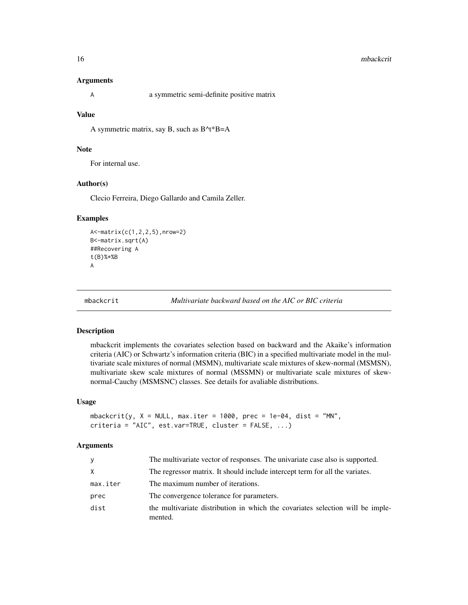#### <span id="page-15-0"></span>16 mbackcrit and the model of the model of the model of the model of the model of the model of the model of the model of the model of the model of the model of the model of the model of the model of the model of the model

#### **Arguments**

| a symmetric semi-definite positive matrix |  |
|-------------------------------------------|--|
|-------------------------------------------|--|

#### Value

A symmetric matrix, say B, such as B^t\*B=A

#### Note

For internal use.

#### Author(s)

Clecio Ferreira, Diego Gallardo and Camila Zeller.

#### Examples

```
A<-matrix(c(1,2,2,5),nrow=2)
B<-matrix.sqrt(A)
##Recovering A
t(B)%*%B
A
```
mbackcrit *Multivariate backward based on the AIC or BIC criteria*

#### Description

mbackcrit implements the covariates selection based on backward and the Akaike's information criteria (AIC) or Schwartz's information criteria (BIC) in a specified multivariate model in the multivariate scale mixtures of normal (MSMN), multivariate scale mixtures of skew-normal (MSMSN), multivariate skew scale mixtures of normal (MSSMN) or multivariate scale mixtures of skewnormal-Cauchy (MSMSNC) classes. See details for avaliable distributions.

#### Usage

```
mbackcrit(y, X = NULL, max.iter = 1000, prec = 1e-04, dist = "MN",
criteria = "AIC", est.var=TRUE, cluster = FALSE, ...)
```
#### Arguments

| v        | The multivariate vector of responses. The univariate case also is supported.              |
|----------|-------------------------------------------------------------------------------------------|
| X.       | The regressor matrix. It should include intercept term for all the variates.              |
| max.iter | The maximum number of iterations.                                                         |
| prec     | The convergence tolerance for parameters.                                                 |
| dist     | the multivariate distribution in which the covariates selection will be imple-<br>mented. |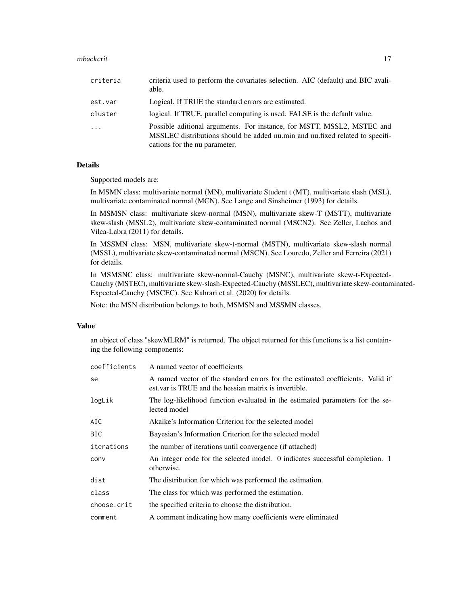| criteria | criteria used to perform the covariates selection. AIC (default) and BIC avali-<br>able.                                                                                                |
|----------|-----------------------------------------------------------------------------------------------------------------------------------------------------------------------------------------|
| est.var  | Logical. If TRUE the standard errors are estimated.                                                                                                                                     |
| cluster  | logical. If TRUE, parallel computing is used. FALSE is the default value.                                                                                                               |
| $\cdots$ | Possible aditional arguments. For instance, for MSTT, MSSL2, MSTEC and<br>MSSLEC distributions should be added nu.min and nu.fixed related to specifi-<br>cations for the nu parameter. |

#### Details

Supported models are:

In MSMN class: multivariate normal (MN), multivariate Student t (MT), multivariate slash (MSL), multivariate contaminated normal (MCN). See Lange and Sinsheimer (1993) for details.

In MSMSN class: multivariate skew-normal (MSN), multivariate skew-T (MSTT), multivariate skew-slash (MSSL2), multivariate skew-contaminated normal (MSCN2). See Zeller, Lachos and Vilca-Labra (2011) for details.

In MSSMN class: MSN, multivariate skew-t-normal (MSTN), multivariate skew-slash normal (MSSL), multivariate skew-contaminated normal (MSCN). See Louredo, Zeller and Ferreira (2021) for details.

In MSMSNC class: multivariate skew-normal-Cauchy (MSNC), multivariate skew-t-Expected-Cauchy (MSTEC), multivariate skew-slash-Expected-Cauchy (MSSLEC), multivariate skew-contaminated-Expected-Cauchy (MSCEC). See Kahrari et al. (2020) for details.

Note: the MSN distribution belongs to both, MSMSN and MSSMN classes.

#### Value

an object of class "skewMLRM" is returned. The object returned for this functions is a list containing the following components:

| coefficients | A named vector of coefficients                                                                                                          |
|--------------|-----------------------------------------------------------------------------------------------------------------------------------------|
| se           | A named vector of the standard errors for the estimated coefficients. Valid if<br>est var is TRUE and the hessian matrix is invertible. |
| logLik       | The log-likelihood function evaluated in the estimated parameters for the se-<br>lected model                                           |
| AIC          | Akaike's Information Criterion for the selected model                                                                                   |
| BIC.         | Bayesian's Information Criterion for the selected model                                                                                 |
| iterations   | the number of iterations until convergence (if attached)                                                                                |
| conv         | An integer code for the selected model. 0 indicates successful completion. 1<br>otherwise.                                              |
| dist         | The distribution for which was performed the estimation.                                                                                |
| class        | The class for which was performed the estimation.                                                                                       |
| choose.crit  | the specified criteria to choose the distribution.                                                                                      |
| comment      | A comment indicating how many coefficients were eliminated                                                                              |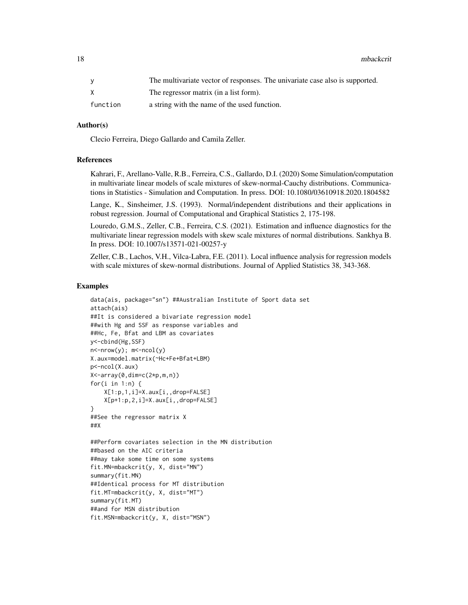18 mbackcrit

|          | The multivariate vector of responses. The univariate case also is supported. |
|----------|------------------------------------------------------------------------------|
|          | The regressor matrix (in a list form).                                       |
| function | a string with the name of the used function.                                 |

#### Author(s)

Clecio Ferreira, Diego Gallardo and Camila Zeller.

#### References

Kahrari, F., Arellano-Valle, R.B., Ferreira, C.S., Gallardo, D.I. (2020) Some Simulation/computation in multivariate linear models of scale mixtures of skew-normal-Cauchy distributions. Communications in Statistics - Simulation and Computation. In press. DOI: 10.1080/03610918.2020.1804582

Lange, K., Sinsheimer, J.S. (1993). Normal/independent distributions and their applications in robust regression. Journal of Computational and Graphical Statistics 2, 175-198.

Louredo, G.M.S., Zeller, C.B., Ferreira, C.S. (2021). Estimation and influence diagnostics for the multivariate linear regression models with skew scale mixtures of normal distributions. Sankhya B. In press. DOI: 10.1007/s13571-021-00257-y

Zeller, C.B., Lachos, V.H., Vilca-Labra, F.E. (2011). Local influence analysis for regression models with scale mixtures of skew-normal distributions. Journal of Applied Statistics 38, 343-368.

#### Examples

```
data(ais, package="sn") ##Australian Institute of Sport data set
attach(ais)
##It is considered a bivariate regression model
##with Hg and SSF as response variables and
##Hc, Fe, Bfat and LBM as covariates
y<-cbind(Hg,SSF)
n < - nrow(y); m < -ncol(y)X.aux=model.matrix(~Hc+Fe+Bfat+LBM)
p<-ncol(X.aux)
X<-array(0,dim=c(2*p,m,n))
for(i in 1:n) \{X[1:p,1,i]=X.aux[i,,drop=FALSE]
   X[p+1:p,2,i]=X.aux[i,,drop=FALSE]
}
##See the regressor matrix X
##X
##Perform covariates selection in the MN distribution
##based on the AIC criteria
##may take some time on some systems
fit.MN=mbackcrit(y, X, dist="MN")
summary(fit.MN)
##Identical process for MT distribution
fit.MT=mbackcrit(y, X, dist="MT")
summary(fit.MT)
##and for MSN distribution
fit.MSN=mbackcrit(y, X, dist="MSN")
```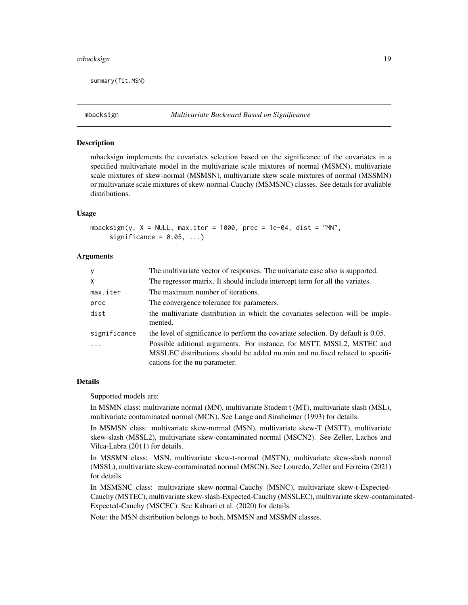#### <span id="page-18-0"></span>mbacksign 19

summary(fit.MSN)

#### Description

mbacksign implements the covariates selection based on the significance of the covariates in a specified multivariate model in the multivariate scale mixtures of normal (MSMN), multivariate scale mixtures of skew-normal (MSMSN), multivariate skew scale mixtures of normal (MSSMN) or multivariate scale mixtures of skew-normal-Cauchy (MSMSNC) classes. See details for avaliable distributions.

#### Usage

```
mbacksign(y, X = NULL, max.iter = 1000, prec = 1e-04, dist = "MN",
     significance = 0.05, ...)
```
#### Arguments

| The multivariate vector of responses. The univariate case also is supported.                                                                                                            |
|-----------------------------------------------------------------------------------------------------------------------------------------------------------------------------------------|
| The regressor matrix. It should include intercept term for all the variates.                                                                                                            |
| The maximum number of iterations.                                                                                                                                                       |
| The convergence tolerance for parameters.                                                                                                                                               |
| the multivariate distribution in which the covariates selection will be imple-<br>mented.                                                                                               |
| the level of significance to perform the covariate selection. By default is 0.05.                                                                                                       |
| Possible aditional arguments. For instance, for MSTT, MSSL2, MSTEC and<br>MSSLEC distributions should be added nu.min and nu.fixed related to specifi-<br>cations for the nu parameter. |
|                                                                                                                                                                                         |

#### Details

Supported models are:

In MSMN class: multivariate normal (MN), multivariate Student t (MT), multivariate slash (MSL), multivariate contaminated normal (MCN). See Lange and Sinsheimer (1993) for details.

In MSMSN class: multivariate skew-normal (MSN), multivariate skew-T (MSTT), multivariate skew-slash (MSSL2), multivariate skew-contaminated normal (MSCN2). See Zeller, Lachos and Vilca-Labra (2011) for details.

In MSSMN class: MSN, multivariate skew-t-normal (MSTN), multivariate skew-slash normal (MSSL), multivariate skew-contaminated normal (MSCN). See Louredo, Zeller and Ferreira (2021) for details.

In MSMSNC class: multivariate skew-normal-Cauchy (MSNC), multivariate skew-t-Expected-Cauchy (MSTEC), multivariate skew-slash-Expected-Cauchy (MSSLEC), multivariate skew-contaminated-Expected-Cauchy (MSCEC). See Kahrari et al. (2020) for details.

Note: the MSN distribution belongs to both, MSMSN and MSSMN classes.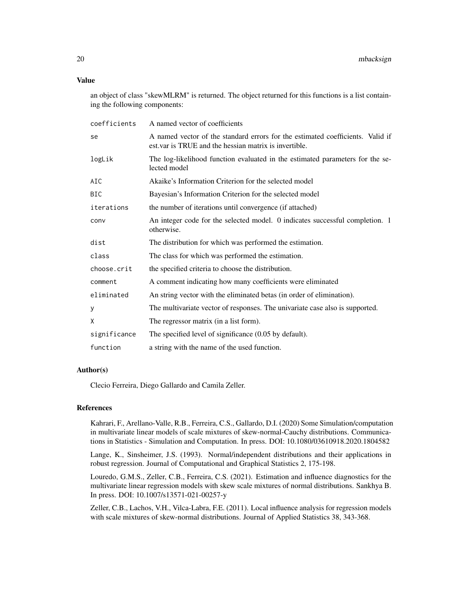an object of class "skewMLRM" is returned. The object returned for this functions is a list containing the following components:

| coefficients | A named vector of coefficients                                                                                                          |
|--------------|-----------------------------------------------------------------------------------------------------------------------------------------|
| se           | A named vector of the standard errors for the estimated coefficients. Valid if<br>est var is TRUE and the hessian matrix is invertible. |
| logLik       | The log-likelihood function evaluated in the estimated parameters for the se-<br>lected model                                           |
| AIC          | Akaike's Information Criterion for the selected model                                                                                   |
| <b>BIC</b>   | Bayesian's Information Criterion for the selected model                                                                                 |
| iterations   | the number of iterations until convergence (if attached)                                                                                |
| conv         | An integer code for the selected model. 0 indicates successful completion. 1<br>otherwise.                                              |
| dist         | The distribution for which was performed the estimation.                                                                                |
| class        | The class for which was performed the estimation.                                                                                       |
| choose.crit  | the specified criteria to choose the distribution.                                                                                      |
| comment      | A comment indicating how many coefficients were eliminated                                                                              |
| eliminated   | An string vector with the eliminated betas (in order of elimination).                                                                   |
| У            | The multivariate vector of responses. The univariate case also is supported.                                                            |
| X            | The regressor matrix (in a list form).                                                                                                  |
| significance | The specified level of significance $(0.05$ by default).                                                                                |
| function     | a string with the name of the used function.                                                                                            |

#### Author(s)

Clecio Ferreira, Diego Gallardo and Camila Zeller.

#### References

Kahrari, F., Arellano-Valle, R.B., Ferreira, C.S., Gallardo, D.I. (2020) Some Simulation/computation in multivariate linear models of scale mixtures of skew-normal-Cauchy distributions. Communications in Statistics - Simulation and Computation. In press. DOI: 10.1080/03610918.2020.1804582

Lange, K., Sinsheimer, J.S. (1993). Normal/independent distributions and their applications in robust regression. Journal of Computational and Graphical Statistics 2, 175-198.

Louredo, G.M.S., Zeller, C.B., Ferreira, C.S. (2021). Estimation and influence diagnostics for the multivariate linear regression models with skew scale mixtures of normal distributions. Sankhya B. In press. DOI: 10.1007/s13571-021-00257-y

Zeller, C.B., Lachos, V.H., Vilca-Labra, F.E. (2011). Local influence analysis for regression models with scale mixtures of skew-normal distributions. Journal of Applied Statistics 38, 343-368.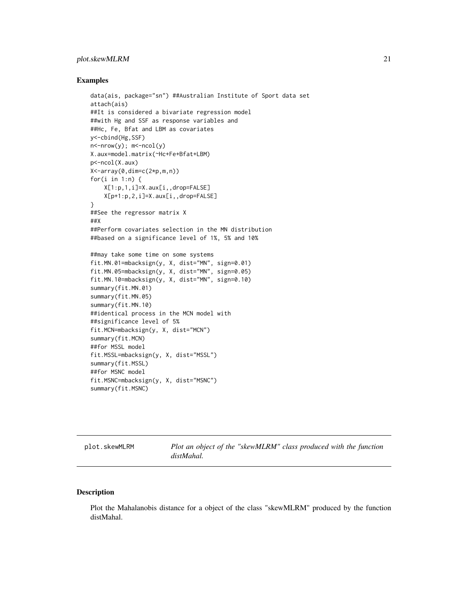#### <span id="page-20-0"></span>plot.skewMLRM 21

#### Examples

```
data(ais, package="sn") ##Australian Institute of Sport data set
attach(ais)
##It is considered a bivariate regression model
##with Hg and SSF as response variables and
##Hc, Fe, Bfat and LBM as covariates
y<-cbind(Hg,SSF)
n<-nrow(y); m<-ncol(y)
X.aux=model.matrix(~Hc+Fe+Bfat+LBM)
p<-ncol(X.aux)
X<-array(0,dim=c(2*p,m,n))
for(i in 1:n) {
    X[1:p,1,i]=X.aux[i,,drop=FALSE]
   X[p+1:p,2,i]=X.aux[i,,drop=FALSE]
}
##See the regressor matrix X
##X
##Perform covariates selection in the MN distribution
##based on a significance level of 1%, 5% and 10%
##may take some time on some systems
fit.MN.01=mbacksign(y, X, dist="MN", sign=0.01)
fit.MN.05=mbacksign(y, X, dist="MN", sign=0.05)
fit.MN.10=mbacksign(y, X, dist="MN", sign=0.10)
summary(fit.MN.01)
summary(fit.MN.05)
summary(fit.MN.10)
##identical process in the MCN model with
##significance level of 5%
fit.MCN=mbacksign(y, X, dist="MCN")
summary(fit.MCN)
##for MSSL model
fit.MSSL=mbacksign(y, X, dist="MSSL")
summary(fit.MSSL)
##for MSNC model
fit.MSNC=mbacksign(y, X, dist="MSNC")
summary(fit.MSNC)
```
plot.skewMLRM *Plot an object of the "skewMLRM" class produced with the function distMahal.*

#### Description

Plot the Mahalanobis distance for a object of the class "skewMLRM" produced by the function distMahal.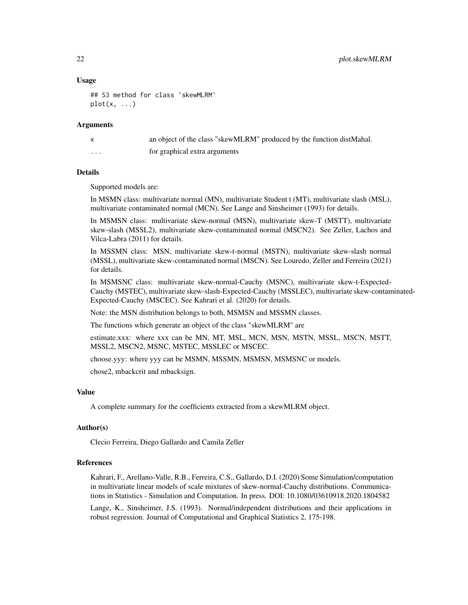#### Usage

```
## S3 method for class 'skewMLRM'
plot(x, \ldots)
```
#### **Arguments**

| $\mathsf{X}$ | an object of the class "skewMLRM" produced by the function distMahal. |
|--------------|-----------------------------------------------------------------------|
| .            | for graphical extra arguments                                         |

#### Details

Supported models are:

In MSMN class: multivariate normal (MN), multivariate Student t (MT), multivariate slash (MSL), multivariate contaminated normal (MCN). See Lange and Sinsheimer (1993) for details.

In MSMSN class: multivariate skew-normal (MSN), multivariate skew-T (MSTT), multivariate skew-slash (MSSL2), multivariate skew-contaminated normal (MSCN2). See Zeller, Lachos and Vilca-Labra (2011) for details.

In MSSMN class: MSN, multivariate skew-t-normal (MSTN), multivariate skew-slash normal (MSSL), multivariate skew-contaminated normal (MSCN). See Louredo, Zeller and Ferreira (2021) for details.

In MSMSNC class: multivariate skew-normal-Cauchy (MSNC), multivariate skew-t-Expected-Cauchy (MSTEC), multivariate skew-slash-Expected-Cauchy (MSSLEC), multivariate skew-contaminated-Expected-Cauchy (MSCEC). See Kahrari et al. (2020) for details.

Note: the MSN distribution belongs to both, MSMSN and MSSMN classes.

The functions which generate an object of the class "skewMLRM" are

estimate.xxx: where xxx can be MN, MT, MSL, MCN, MSN, MSTN, MSSL, MSCN, MSTT, MSSL2, MSCN2, MSNC, MSTEC, MSSLEC or MSCEC.

choose.yyy: where yyy can be MSMN, MSSMN, MSMSN, MSMSNC or models.

chose2, mbackcrit and mbacksign.

#### Value

A complete summary for the coefficients extracted from a skewMLRM object.

#### Author(s)

Clecio Ferreira, Diego Gallardo and Camila Zeller

#### References

Kahrari, F., Arellano-Valle, R.B., Ferreira, C.S., Gallardo, D.I. (2020) Some Simulation/computation in multivariate linear models of scale mixtures of skew-normal-Cauchy distributions. Communications in Statistics - Simulation and Computation. In press. DOI: 10.1080/03610918.2020.1804582

Lange, K., Sinsheimer, J.S. (1993). Normal/independent distributions and their applications in robust regression. Journal of Computational and Graphical Statistics 2, 175-198.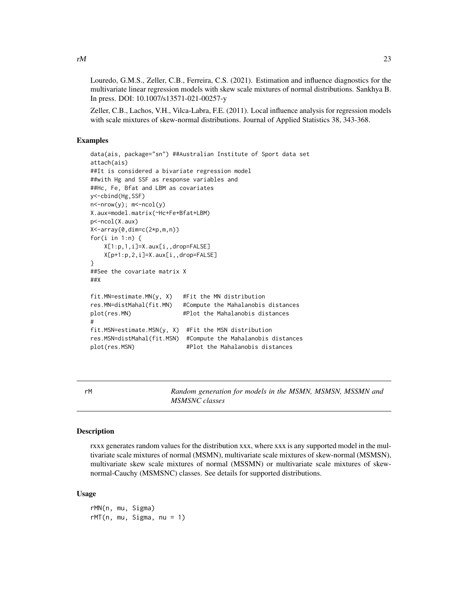<span id="page-22-0"></span>Louredo, G.M.S., Zeller, C.B., Ferreira, C.S. (2021). Estimation and influence diagnostics for the multivariate linear regression models with skew scale mixtures of normal distributions. Sankhya B. In press. DOI: 10.1007/s13571-021-00257-y

Zeller, C.B., Lachos, V.H., Vilca-Labra, F.E. (2011). Local influence analysis for regression models with scale mixtures of skew-normal distributions. Journal of Applied Statistics 38, 343-368.

#### Examples

```
data(ais, package="sn") ##Australian Institute of Sport data set
attach(ais)
##It is considered a bivariate regression model
##with Hg and SSF as response variables and
##Hc, Fe, Bfat and LBM as covariates
y<-cbind(Hg,SSF)
n<-nrow(y); m<-ncol(y)
X.aux=model.matrix(~Hc+Fe+Bfat+LBM)
p<-ncol(X.aux)
X<-array(0,dim=c(2*p,m,n))
for(i in 1:n) \{X[1:p,1,i]=X.aux[i,,drop=FALSE]
   X[p+1:p,2,i]=X.aux[i,,drop=FALSE]
}
##See the covariate matrix X
##X
fit.MN=estimate.MN(y, X) #Fit the MN distribution
res.MN=distMahal(fit.MN) #Compute the Mahalanobis distances
plot(res.MN) #Plot the Mahalanobis distances
#
fit.MSN=estimate.MSN(y, X) #Fit the MSN distribution
res.MSN=distMahal(fit.MSN) #Compute the Mahalanobis distances
plot(res.MSN) #Plot the Mahalanobis distances
```
rM *Random generation for models in the MSMN, MSMSN, MSSMN and MSMSNC classes*

#### **Description**

rxxx generates random values for the distribution xxx, where xxx is any supported model in the multivariate scale mixtures of normal (MSMN), multivariate scale mixtures of skew-normal (MSMSN), multivariate skew scale mixtures of normal (MSSMN) or multivariate scale mixtures of skewnormal-Cauchy (MSMSNC) classes. See details for supported distributions.

#### Usage

rMN(n, mu, Sigma)  $rMT(n, mu, Sigma, nu = 1)$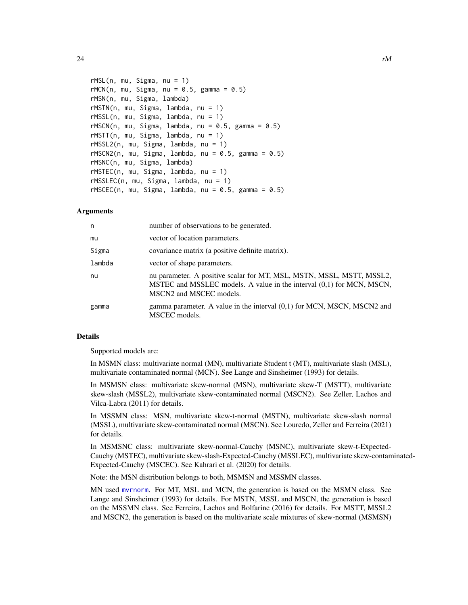```
rMSL(n, mu, Sigma, nu = 1)rMCN(n, mu, Sigma, nu = 0.5, gamma = 0.5)rMSN(n, mu, Sigma, lambda)
rMSTN(n, mu, Sigma, lambda, nu = 1)
rMSSL(n, mu, Sigma, lambda, nu = 1)
rMSCN(n, mu, Sigma, lambda, nu = 0.5, gamma = 0.5)rMSTT(n, mu, Sigma, lambda, nu = 1)
rMSSL2(n, mu, Sigma, lambda, nu = 1)rMSCN2(n, mu, Sigma, lambda, nu = 0.5, gamma = 0.5)rMSNC(n, mu, Sigma, lambda)
rMSTEC(n, mu, Sigma, lambda, nu = 1)
rMSSLEC(n, mu, Sigma, lambda, nu = 1)
rMSCEC(n, mu, Sigma, lambda, nu = 0.5, gamma = 0.5)
```
#### Arguments

| n      | number of observations to be generated.                                                                                                                                   |
|--------|---------------------------------------------------------------------------------------------------------------------------------------------------------------------------|
| mu     | vector of location parameters.                                                                                                                                            |
| Sigma  | covariance matrix (a positive definite matrix).                                                                                                                           |
| lambda | vector of shape parameters.                                                                                                                                               |
| nu     | nu parameter. A positive scalar for MT, MSL, MSTN, MSSL, MSTT, MSSL2,<br>MSTEC and MSSLEC models. A value in the interval (0,1) for MCN, MSCN,<br>MSCN2 and MSCEC models. |
| gamma  | gamma parameter. A value in the interval $(0,1)$ for MCN, MSCN, MSCN2 and<br>MSCEC models.                                                                                |

#### Details

Supported models are:

In MSMN class: multivariate normal (MN), multivariate Student t (MT), multivariate slash (MSL), multivariate contaminated normal (MCN). See Lange and Sinsheimer (1993) for details.

In MSMSN class: multivariate skew-normal (MSN), multivariate skew-T (MSTT), multivariate skew-slash (MSSL2), multivariate skew-contaminated normal (MSCN2). See Zeller, Lachos and Vilca-Labra (2011) for details.

In MSSMN class: MSN, multivariate skew-t-normal (MSTN), multivariate skew-slash normal (MSSL), multivariate skew-contaminated normal (MSCN). See Louredo, Zeller and Ferreira (2021) for details.

In MSMSNC class: multivariate skew-normal-Cauchy (MSNC), multivariate skew-t-Expected-Cauchy (MSTEC), multivariate skew-slash-Expected-Cauchy (MSSLEC), multivariate skew-contaminated-Expected-Cauchy (MSCEC). See Kahrari et al. (2020) for details.

Note: the MSN distribution belongs to both, MSMSN and MSSMN classes.

MN used [mvrnorm](#page-0-0). For MT, MSL and MCN, the generation is based on the MSMN class. See Lange and Sinsheimer (1993) for details. For MSTN, MSSL and MSCN, the generation is based on the MSSMN class. See Ferreira, Lachos and Bolfarine (2016) for details. For MSTT, MSSL2 and MSCN2, the generation is based on the multivariate scale mixtures of skew-normal (MSMSN)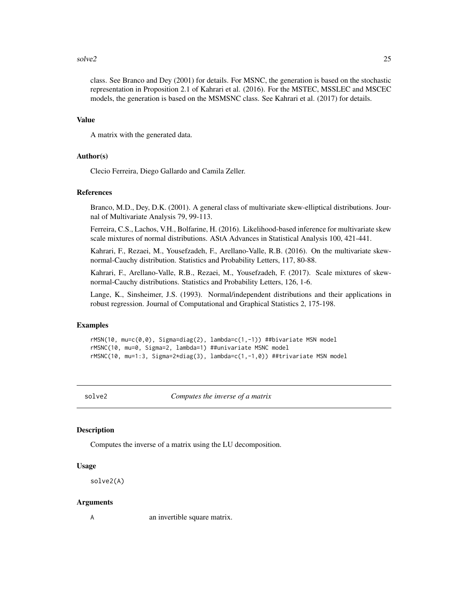#### <span id="page-24-0"></span>solve2 25

class. See Branco and Dey (2001) for details. For MSNC, the generation is based on the stochastic representation in Proposition 2.1 of Kahrari et al. (2016). For the MSTEC, MSSLEC and MSCEC models, the generation is based on the MSMSNC class. See Kahrari et al. (2017) for details.

#### Value

A matrix with the generated data.

#### Author(s)

Clecio Ferreira, Diego Gallardo and Camila Zeller.

#### References

Branco, M.D., Dey, D.K. (2001). A general class of multivariate skew-elliptical distributions. Journal of Multivariate Analysis 79, 99-113.

Ferreira, C.S., Lachos, V.H., Bolfarine, H. (2016). Likelihood-based inference for multivariate skew scale mixtures of normal distributions. AStA Advances in Statistical Analysis 100, 421-441.

Kahrari, F., Rezaei, M., Yousefzadeh, F., Arellano-Valle, R.B. (2016). On the multivariate skewnormal-Cauchy distribution. Statistics and Probability Letters, 117, 80-88.

Kahrari, F., Arellano-Valle, R.B., Rezaei, M., Yousefzadeh, F. (2017). Scale mixtures of skewnormal-Cauchy distributions. Statistics and Probability Letters, 126, 1-6.

Lange, K., Sinsheimer, J.S. (1993). Normal/independent distributions and their applications in robust regression. Journal of Computational and Graphical Statistics 2, 175-198.

#### Examples

rMSN(10, mu=c(0,0), Sigma=diag(2), lambda=c(1,-1)) ##bivariate MSN model rMSNC(10, mu=0, Sigma=2, lambda=1) ##univariate MSNC model rMSNC(10, mu=1:3, Sigma=2\*diag(3), lambda=c(1,-1,0)) ##trivariate MSN model

solve2 *Computes the inverse of a matrix*

#### Description

Computes the inverse of a matrix using the LU decomposition.

#### Usage

solve2(A)

#### Arguments

A an invertible square matrix.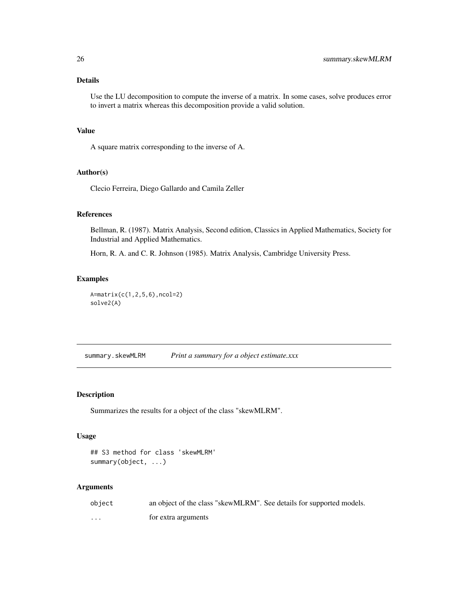#### <span id="page-25-0"></span>Details

Use the LU decomposition to compute the inverse of a matrix. In some cases, solve produces error to invert a matrix whereas this decomposition provide a valid solution.

#### Value

A square matrix corresponding to the inverse of A.

#### Author(s)

Clecio Ferreira, Diego Gallardo and Camila Zeller

#### References

Bellman, R. (1987). Matrix Analysis, Second edition, Classics in Applied Mathematics, Society for Industrial and Applied Mathematics.

Horn, R. A. and C. R. Johnson (1985). Matrix Analysis, Cambridge University Press.

#### Examples

```
A=matrix(c(1,2,5,6),ncol=2)
solve2(A)
```
summary.skewMLRM *Print a summary for a object estimate.xxx*

#### Description

Summarizes the results for a object of the class "skewMLRM".

#### Usage

```
## S3 method for class 'skewMLRM'
summary(object, ...)
```
#### Arguments

| object | an object of the class "skewMLRM". See details for supported models. |
|--------|----------------------------------------------------------------------|
| .      | for extra arguments                                                  |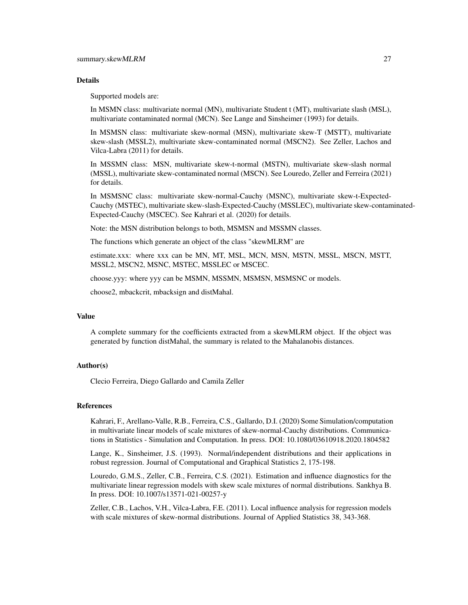#### Details

Supported models are:

In MSMN class: multivariate normal (MN), multivariate Student t (MT), multivariate slash (MSL), multivariate contaminated normal (MCN). See Lange and Sinsheimer (1993) for details.

In MSMSN class: multivariate skew-normal (MSN), multivariate skew-T (MSTT), multivariate skew-slash (MSSL2), multivariate skew-contaminated normal (MSCN2). See Zeller, Lachos and Vilca-Labra (2011) for details.

In MSSMN class: MSN, multivariate skew-t-normal (MSTN), multivariate skew-slash normal (MSSL), multivariate skew-contaminated normal (MSCN). See Louredo, Zeller and Ferreira (2021) for details.

In MSMSNC class: multivariate skew-normal-Cauchy (MSNC), multivariate skew-t-Expected-Cauchy (MSTEC), multivariate skew-slash-Expected-Cauchy (MSSLEC), multivariate skew-contaminated-Expected-Cauchy (MSCEC). See Kahrari et al. (2020) for details.

Note: the MSN distribution belongs to both, MSMSN and MSSMN classes.

The functions which generate an object of the class "skewMLRM" are

estimate.xxx: where xxx can be MN, MT, MSL, MCN, MSN, MSTN, MSSL, MSCN, MSTT, MSSL2, MSCN2, MSNC, MSTEC, MSSLEC or MSCEC.

choose.yyy: where yyy can be MSMN, MSSMN, MSMSN, MSMSNC or models.

choose2, mbackcrit, mbacksign and distMahal.

#### Value

A complete summary for the coefficients extracted from a skewMLRM object. If the object was generated by function distMahal, the summary is related to the Mahalanobis distances.

#### Author(s)

Clecio Ferreira, Diego Gallardo and Camila Zeller

#### References

Kahrari, F., Arellano-Valle, R.B., Ferreira, C.S., Gallardo, D.I. (2020) Some Simulation/computation in multivariate linear models of scale mixtures of skew-normal-Cauchy distributions. Communications in Statistics - Simulation and Computation. In press. DOI: 10.1080/03610918.2020.1804582

Lange, K., Sinsheimer, J.S. (1993). Normal/independent distributions and their applications in robust regression. Journal of Computational and Graphical Statistics 2, 175-198.

Louredo, G.M.S., Zeller, C.B., Ferreira, C.S. (2021). Estimation and influence diagnostics for the multivariate linear regression models with skew scale mixtures of normal distributions. Sankhya B. In press. DOI: 10.1007/s13571-021-00257-y

Zeller, C.B., Lachos, V.H., Vilca-Labra, F.E. (2011). Local influence analysis for regression models with scale mixtures of skew-normal distributions. Journal of Applied Statistics 38, 343-368.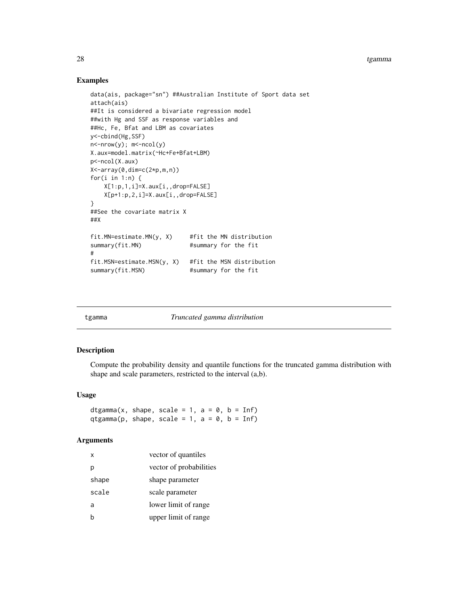#### Examples

```
data(ais, package="sn") ##Australian Institute of Sport data set
attach(ais)
##It is considered a bivariate regression model
##with Hg and SSF as response variables and
##Hc, Fe, Bfat and LBM as covariates
y<-cbind(Hg,SSF)
n <-nrow(y); m <-ncol(y)
X.aux=model.matrix(~Hc+Fe+Bfat+LBM)
p<-ncol(X.aux)
X<-array(0,dim=c(2*p,m,n))
for(i in 1:n) {
   X[1:p,1,i]=X.aux[i,,drop=FALSE]
   X[p+1:p,2,i]=X.aux[i,,drop=FALSE]
}
##See the covariate matrix X
##X
fit.MN=estimate.MN(y, X) #fit the MN distribution
summary(fit.MN) #summary for the fit
#
fit.MSN=estimate.MSN(y, X) #fit the MSN distribution
summary(fit.MSN) #summary for the fit
```

| tgamma |  |
|--------|--|

tgamma *Truncated gamma distribution*

#### Description

Compute the probability density and quantile functions for the truncated gamma distribution with shape and scale parameters, restricted to the interval (a,b).

#### Usage

dtgamma(x, shape, scale = 1,  $a = 0$ ,  $b = Inf$ ) qtgamma(p, shape, scale = 1, a =  $\theta$ , b = Inf)

#### Arguments

| x     | vector of quantiles     |
|-------|-------------------------|
| р     | vector of probabilities |
| shape | shape parameter         |
| scale | scale parameter         |
| a     | lower limit of range    |
| b     | upper limit of range    |

<span id="page-27-0"></span>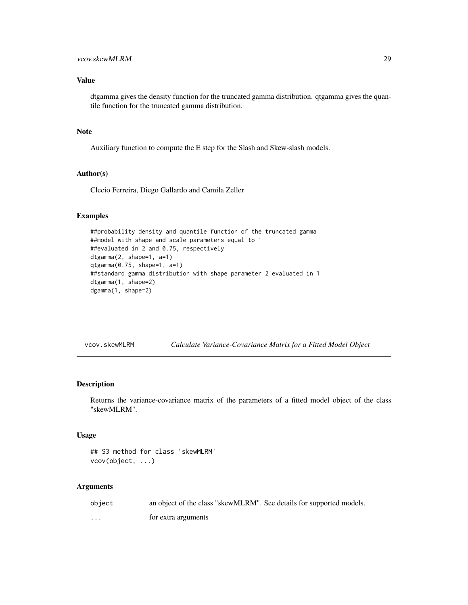#### <span id="page-28-0"></span>vcov.skewMLRM 29

#### Value

dtgamma gives the density function for the truncated gamma distribution. qtgamma gives the quantile function for the truncated gamma distribution.

#### Note

Auxiliary function to compute the E step for the Slash and Skew-slash models.

#### Author(s)

Clecio Ferreira, Diego Gallardo and Camila Zeller

#### Examples

```
##probability density and quantile function of the truncated gamma
##model with shape and scale parameters equal to 1
##evaluated in 2 and 0.75, respectively
dtgamma(2, shape=1, a=1)
qtgamma(0.75, shape=1, a=1)
##standard gamma distribution with shape parameter 2 evaluated in 1
dtgamma(1, shape=2)
dgamma(1, shape=2)
```

| vcov.skewMLRM |  | Calculate Variance-Covariance Matrix for a Fitted Model Object |  |  |  |
|---------------|--|----------------------------------------------------------------|--|--|--|
|               |  |                                                                |  |  |  |

#### Description

Returns the variance-covariance matrix of the parameters of a fitted model object of the class "skewMLRM".

#### Usage

```
## S3 method for class 'skewMLRM'
vcov(object, ...)
```
#### Arguments

| object | an object of the class "skewMLRM". See details for supported models. |
|--------|----------------------------------------------------------------------|
| .      | for extra arguments                                                  |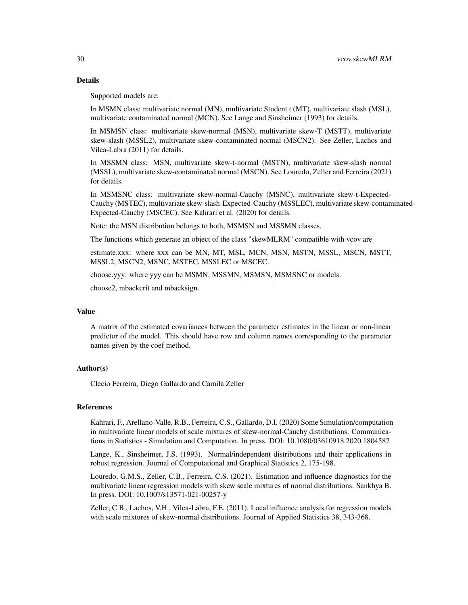#### Details

Supported models are:

In MSMN class: multivariate normal (MN), multivariate Student t (MT), multivariate slash (MSL), multivariate contaminated normal (MCN). See Lange and Sinsheimer (1993) for details.

In MSMSN class: multivariate skew-normal (MSN), multivariate skew-T (MSTT), multivariate skew-slash (MSSL2), multivariate skew-contaminated normal (MSCN2). See Zeller, Lachos and Vilca-Labra (2011) for details.

In MSSMN class: MSN, multivariate skew-t-normal (MSTN), multivariate skew-slash normal (MSSL), multivariate skew-contaminated normal (MSCN). See Louredo, Zeller and Ferreira (2021) for details.

In MSMSNC class: multivariate skew-normal-Cauchy (MSNC), multivariate skew-t-Expected-Cauchy (MSTEC), multivariate skew-slash-Expected-Cauchy (MSSLEC), multivariate skew-contaminated-Expected-Cauchy (MSCEC). See Kahrari et al. (2020) for details.

Note: the MSN distribution belongs to both, MSMSN and MSSMN classes.

The functions which generate an object of the class "skewMLRM" compatible with vcov are

estimate.xxx: where xxx can be MN, MT, MSL, MCN, MSN, MSTN, MSSL, MSCN, MSTT, MSSL2, MSCN2, MSNC, MSTEC, MSSLEC or MSCEC.

choose.yyy: where yyy can be MSMN, MSSMN, MSMSN, MSMSNC or models.

choose2, mbackcrit and mbacksign.

#### Value

A matrix of the estimated covariances between the parameter estimates in the linear or non-linear predictor of the model. This should have row and column names corresponding to the parameter names given by the coef method.

#### Author(s)

Clecio Ferreira, Diego Gallardo and Camila Zeller

#### References

Kahrari, F., Arellano-Valle, R.B., Ferreira, C.S., Gallardo, D.I. (2020) Some Simulation/computation in multivariate linear models of scale mixtures of skew-normal-Cauchy distributions. Communications in Statistics - Simulation and Computation. In press. DOI: 10.1080/03610918.2020.1804582

Lange, K., Sinsheimer, J.S. (1993). Normal/independent distributions and their applications in robust regression. Journal of Computational and Graphical Statistics 2, 175-198.

Louredo, G.M.S., Zeller, C.B., Ferreira, C.S. (2021). Estimation and influence diagnostics for the multivariate linear regression models with skew scale mixtures of normal distributions. Sankhya B. In press. DOI: 10.1007/s13571-021-00257-y

Zeller, C.B., Lachos, V.H., Vilca-Labra, F.E. (2011). Local influence analysis for regression models with scale mixtures of skew-normal distributions. Journal of Applied Statistics 38, 343-368.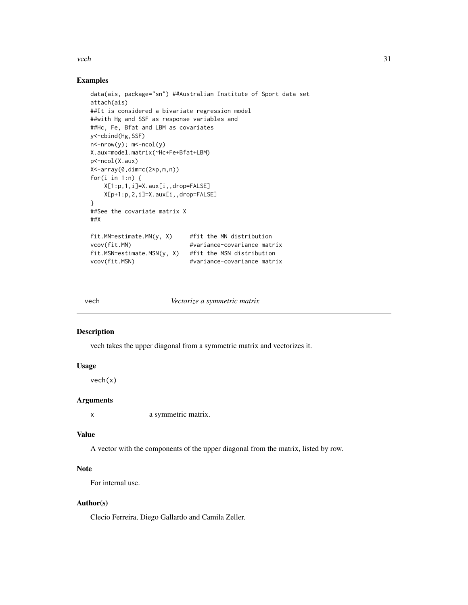<span id="page-30-0"></span>vech 31

#### Examples

```
data(ais, package="sn") ##Australian Institute of Sport data set
attach(ais)
##It is considered a bivariate regression model
##with Hg and SSF as response variables and
##Hc, Fe, Bfat and LBM as covariates
y<-cbind(Hg,SSF)
n<-nrow(y); m<-ncol(y)
X.aux=model.matrix(~Hc+Fe+Bfat+LBM)
p<-ncol(X.aux)
X<-array(0,dim=c(2*p,m,n))
for(i in 1:n) \{X[1:p,1,i]=X.aux[i,,drop=FALSE]
   X[p+1:p,2,i]=X.aux[i,,drop=FALSE]
}
##See the covariate matrix X
##X
fit. MN=estimate. MN(y, X) #fit the MN distribution
vcov(fit.MN) #variance-covariance matrix
fit.MSN=estimate.MSN(y, X) #fit the MSN distribution
vcov(fit.MSN) #variance-covariance matrix
```
vech *Vectorize a symmetric matrix*

#### Description

vech takes the upper diagonal from a symmetric matrix and vectorizes it.

#### Usage

vech(x)

#### Arguments

x a symmetric matrix.

#### Value

A vector with the components of the upper diagonal from the matrix, listed by row.

#### **Note**

For internal use.

#### Author(s)

Clecio Ferreira, Diego Gallardo and Camila Zeller.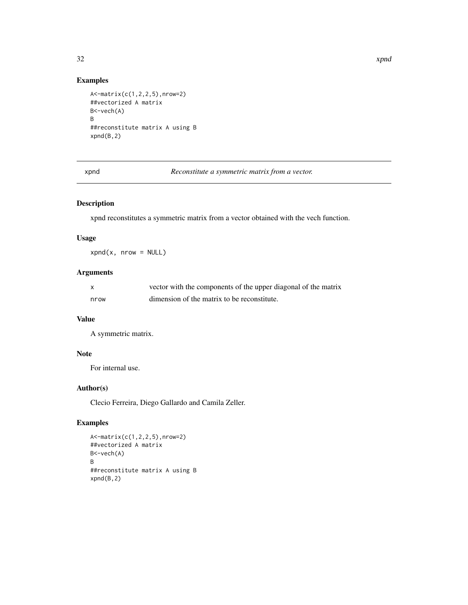#### Examples

```
A<-matrix(c(1,2,2,5),nrow=2)
##vectorized A matrix
B<-vech(A)
B
##reconstitute matrix A using B
xpnd(B, 2)
```
xpnd *Reconstitute a symmetric matrix from a vector.*

#### Description

xpnd reconstitutes a symmetric matrix from a vector obtained with the vech function.

#### Usage

 $xpnd(x, nrow = NULL)$ 

#### Arguments

| X    | vector with the components of the upper diagonal of the matrix |
|------|----------------------------------------------------------------|
| nrow | dimension of the matrix to be reconstitute.                    |

### Value

A symmetric matrix.

#### Note

For internal use.

#### Author(s)

Clecio Ferreira, Diego Gallardo and Camila Zeller.

#### Examples

```
A<-matrix(c(1,2,2,5),nrow=2)
##vectorized A matrix
B<-vech(A)
B
##reconstitute matrix A using B
xpnd(B,2)
```
<span id="page-31-0"></span>